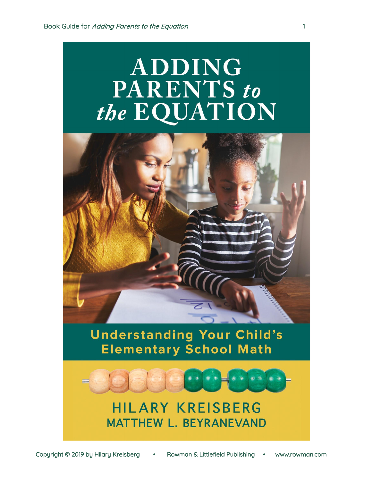# **ADDING PARENTS** to the EQUATION



Copyright © 2019 by Hilary Kreisberg • Rowman & Littlefield Publishing • www.rowman.com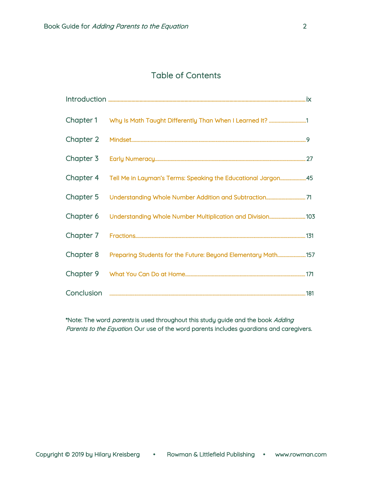# Table of Contents

| Chapter 1  |                                                              |     |
|------------|--------------------------------------------------------------|-----|
| Chapter 2  |                                                              |     |
| Chapter 3  |                                                              |     |
| Chapter 4  | Tell Me in Layman's Terms: Speaking the Educational Jargon45 |     |
| Chapter 5  |                                                              |     |
| Chapter 6  |                                                              |     |
| Chapter 7  |                                                              | 131 |
| Chapter 8  | Preparing Students for the Future: Beyond Elementary Math157 |     |
| Chapter 9  |                                                              |     |
| Conclusion |                                                              | 181 |

\*Note: The word *parents* is used throughout this study guide and the book Adding Parents to the Equation. Our use of the word parents includes guardians and caregivers.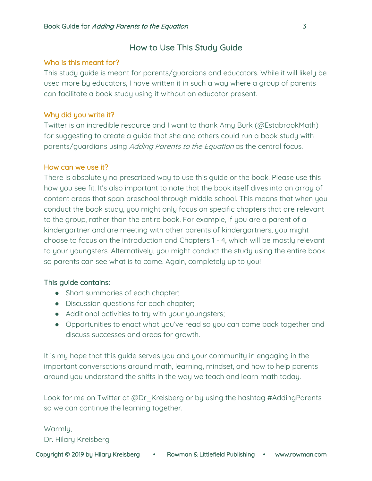# How to Use This Study Guide

## Who is this meant for?

This study guide is meant for parents/guardians and educators. While it will likely be used more by educators, I have written it in such a way where a group of parents can facilitate a book study using it without an educator present.

# Why did you write it?

Twitter is an incredible resource and I want to thank Amy Burk (@EstabrookMath) for suggesting to create a guide that she and others could run a book study with parents/guardians using Adding Parents to the Equation as the central focus.

## How can we use it?

There is absolutely no prescribed way to use this guide or the book. Please use this how you see fit. It's also important to note that the book itself dives into an array of content areas that span preschool through middle school. This means that when you conduct the book study, you might only focus on specific chapters that are relevant to the group, rather than the entire book. For example, if you are a parent of a kindergartner and are meeting with other parents of kindergartners, you might choose to focus on the Introduction and Chapters 1 - 4, which will be mostly relevant to your youngsters. Alternatively, you might conduct the study using the entire book so parents can see what is to come. Again, completely up to you!

## This guide contains:

- Short summaries of each chapter;
- Discussion questions for each chapter;
- Additional activities to try with your youngsters;
- Opportunities to enact what you've read so you can come back together and discuss successes and areas for growth.

It is my hope that this guide serves you and your community in engaging in the important conversations around math, learning, mindset, and how to help parents around you understand the shifts in the way we teach and learn math today.

Look for me on Twitter at @Dr Kreisberg or by using the hashtag #AddingParents so we can continue the learning together.

## Warmly,

Dr. Hilary Kreisberg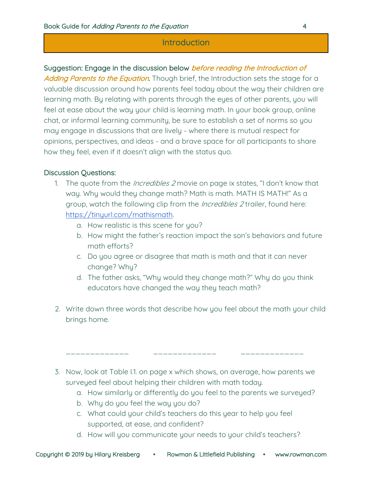# **Introduction**

# Suggestion: Engage in the discussion below *before reading the Introduction of*

Adding Parents to the Equation. Though brief, the Introduction sets the stage for a valuable discussion around how parents feel today about the way their children are learning math. By relating with parents through the eyes of other parents, you will feel at ease about the way your child is learning math. In your book group, online chat, or informal learning community, be sure to establish a set of norms so you may engage in discussions that are lively - where there is mutual respect for opinions, perspectives, and ideas - and a brave space for all participants to share how they feel, even if it doesn't align with the status quo.

## Discussion Questions:

- 1. The quote from the *Incredibles 2* movie on page ix states, "I don't know that way. Why would they change math? Math is math. MATH IS MATH!" As a group, watch the following clip from the *Incredibles 2* trailer, found here: https://tinyurl.com/mathismath.
	- a. How realistic is this scene for you?
	- b. How might the father's reaction impact the son's behaviors and future math efforts?
	- c. Do you agree or disagree that math is math and that it can never change? Why?
	- d. The father asks, "Why would they change math?" Why do you think educators have changed the way they teach math?
- 2. Write down three words that describe how you feel about the math your child brings home.
- 3. Now, look at Table I.1. on page x which shows, on average, how parents we surveyed feel about helping their children with math today.

\_\_\_\_\_\_\_\_\_\_\_\_\_ \_\_\_\_\_\_\_\_\_\_\_\_\_ \_\_\_\_\_\_\_\_\_\_\_\_\_

- a. How similarly or differently do you feel to the parents we surveyed?
- b. Why do you feel the way you do?
- c. What could your child's teachers do this year to help you feel supported, at ease, and confident?
- d. How will you communicate your needs to your child's teachers?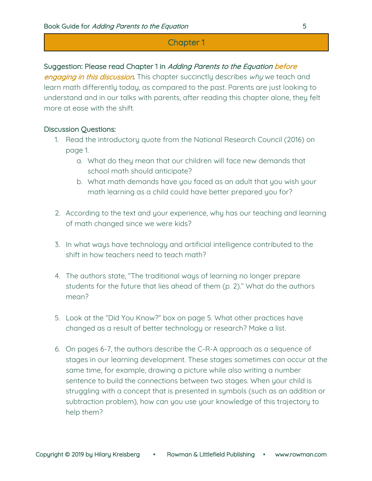#### Suggestion: Please read Chapter 1 in Adding Parents to the Equation before

engaging in this discussion. This chapter succinctly describes why we teach and learn math differently today, as compared to the past. Parents are just looking to understand and in our talks with parents, after reading this chapter alone, they felt more at ease with the shift.

- 1. Read the introductory quote from the National Research Council (2016) on page 1.
	- a. What do they mean that our children will face new demands that school math should anticipate?
	- b. What math demands have you faced as an adult that you wish your math learning as a child could have better prepared you for?
- 2. According to the text and your experience, why has our teaching and learning of math changed since we were kids?
- 3. In what ways have technology and artificial intelligence contributed to the shift in how teachers need to teach math?
- 4. The authors state, "The traditional ways of learning no longer prepare students for the future that lies ahead of them (p. 2)." What do the authors mean?
- 5. Look at the "Did You Know?" box on page 5. What other practices have changed as a result of better technology or research? Make a list.
- 6. On pages 6-7, the authors describe the C-R-A approach as a sequence of stages in our learning development. These stages sometimes can occur at the same time, for example, drawing a picture while also writing a number sentence to build the connections between two stages. When your child is struggling with a concept that is presented in symbols (such as an addition or subtraction problem), how can you use your knowledge of this trajectory to help them?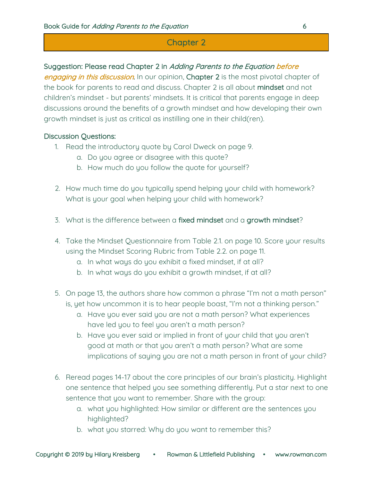# Suggestion: Please read Chapter 2 in Adding Parents to the Equation before

engaging in this discussion. In our opinion, Chapter 2 is the most pivotal chapter of the book for parents to read and discuss. Chapter 2 is all about mindset and not children's mindset - but parents' mindsets. It is critical that parents engage in deep discussions around the benefits of a growth mindset and how developing their own growth mindset is just as critical as instilling one in their child(ren).

- 1. Read the introductory quote by Carol Dweck on page 9.
	- a. Do you agree or disagree with this quote?
	- b. How much do you follow the quote for yourself?
- 2. How much time do you typically spend helping your child with homework? What is your goal when helping your child with homework?
- 3. What is the difference between a fixed mindset and a growth mindset?
- 4. Take the Mindset Questionnaire from Table 2.1. on page 10. Score your results using the Mindset Scoring Rubric from Table 2.2. on page 11.
	- a. In what ways do you exhibit a fixed mindset, if at all?
	- b. In what ways do you exhibit a growth mindset, if at all?
- 5. On page 13, the authors share how common a phrase "I'm not a math person" is, yet how uncommon it is to hear people boast, "I'm not a thinking person."
	- a. Have you ever said you are not a math person? What experiences have led you to feel you aren't a math person?
	- b. Have you ever said or implied in front of your child that you aren't good at math or that you aren't a math person? What are some implications of saying you are not a math person in front of your child?
- 6. Reread pages 14-17 about the core principles of our brain's plasticity. Highlight one sentence that helped you see something differently. Put a star next to one sentence that you want to remember. Share with the group:
	- a. what you highlighted: How similar or different are the sentences you highlighted?
	- b. what you starred: Why do you want to remember this?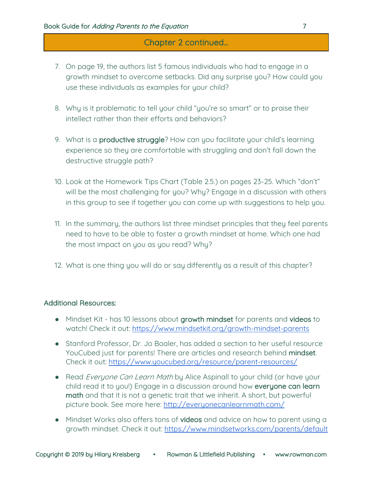# Chapter 2 continued...

- 7. On page 19, the authors list 5 famous individuals who had to engage in a growth mindset to overcome setbacks. Did any surprise you? How could you use these individuals as examples for your child?
- 8. Why is it problematic to tell your child "you're so smart" or to praise their intellect rather than their efforts and behaviors?
- 9. What is a **productive struggle**? How can you facilitate your child's learning experience so they are comfortable with struggling and don't fall down the destructive struggle path?
- 10. Look at the Homework Tips Chart (Table 2.5.) on pages 23-25. Which "don't" will be the most challenging for you? Why? Engage in a discussion with others in this group to see if together you can come up with suggestions to help you.
- 11. In the summary, the authors list three mindset principles that they feel parents need to have to be able to foster a growth mindset at home. Which one had the most impact on you as you read? Why?
- 12. What is one thing you will do or say differently as a result of this chapter?

## Additional Resources:

- Mindset Kit has 10 lessons about growth mindset for parents and videos to watch! Check it out: https://www.mindsetkit.org/growth-mindset-parents
- Stanford Professor, Dr. Jo Boaler, has added a section to her useful resource YouCubed just for parents! There are articles and research behind mindset. Check it out: https://www.youcubed.org/resource/parent-resources/
- Read Everyone Can Learn Math by Alice Aspinall to your child (or have your child read it to you!) Engage in a discussion around how everyone can learn math and that it is not a genetic trait that we inherit. A short, but powerful picture book. See more here: http://everyonecanlearnmath.com/
- Mindset Works also offers tons of videos and advice on how to parent using a growth mindset. Check it out: https://www.mindsetworks.com/parents/default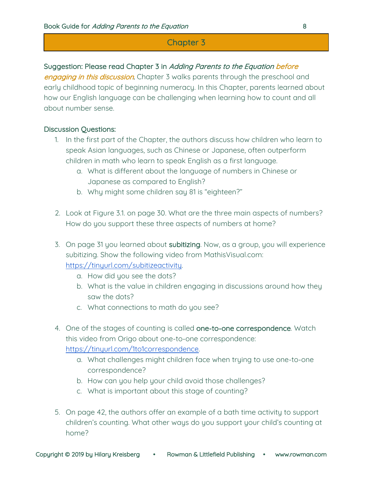## Suggestion: Please read Chapter 3 in Adding Parents to the Equation before

engaging in this discussion. Chapter 3 walks parents through the preschool and early childhood topic of beginning numeracy. In this Chapter, parents learned about how our English language can be challenging when learning how to count and all about number sense.

- 1. In the first part of the Chapter, the authors discuss how children who learn to speak Asian languages, such as Chinese or Japanese, often outperform children in math who learn to speak English as a first language.
	- a. What is different about the language of numbers in Chinese or Japanese as compared to English?
	- b. Why might some children say 81 is "eighteen?"
- 2. Look at Figure 3.1. on page 30. What are the three main aspects of numbers? How do you support these three aspects of numbers at home?
- 3. On page 31 you learned about subitizing. Now, as a group, you will experience subitizing. Show the following video from MathisVisual.com: https://tinyurl.com/subitizeactivity.
	- a. How did you see the dots?
	- b. What is the value in children engaging in discussions around how they saw the dots?
	- c. What connections to math do you see?
- 4. One of the stages of counting is called one-to-one correspondence. Watch this video from Origo about one-to-one correspondence: https://tinyurl.com/1to1correspondence.
	- a. What challenges might children face when trying to use one-to-one correspondence?
	- b. How can you help your child avoid those challenges?
	- c. What is important about this stage of counting?
- 5. On page 42, the authors offer an example of a bath time activity to support children's counting. What other ways do you support your child's counting at home?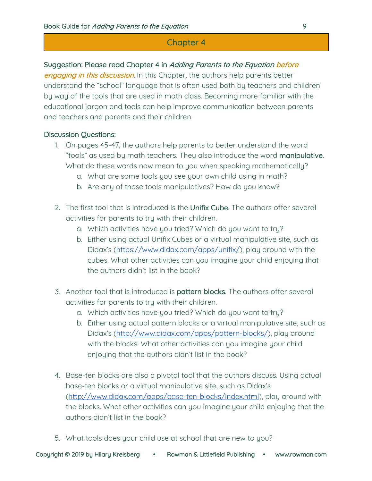# Suggestion: Please read Chapter 4 in Adding Parents to the Equation before

engaging in this discussion. In this Chapter, the authors help parents better understand the "school" language that is often used both by teachers and children by way of the tools that are used in math class. Becoming more familiar with the educational jargon and tools can help improve communication between parents and teachers and parents and their children.

- 1. On pages 45-47, the authors help parents to better understand the word "tools" as used by math teachers. They also introduce the word manipulative. What do these words now mean to you when speaking mathematically?
	- a. What are some tools you see your own child using in math?
	- b. Are any of those tools manipulatives? How do you know?
- 2. The first tool that is introduced is the Unifix Cube. The authors offer several activities for parents to try with their children.
	- a. Which activities have you tried? Which do you want to try?
	- b. Either using actual Unifix Cubes or a virtual manipulative site, such as Didax's (https://www.didax.com/apps/unifix/), play around with the cubes. What other activities can you imagine your child enjoying that the authors didn't list in the book?
- 3. Another tool that is introduced is pattern blocks. The authors offer several activities for parents to try with their children.
	- a. Which activities have you tried? Which do you want to try?
	- b. Either using actual pattern blocks or a virtual manipulative site, such as Didax's (http://www.didax.com/apps/pattern-blocks/), play around with the blocks. What other activities can you imagine your child enjoying that the authors didn't list in the book?
- 4. Base-ten blocks are also a pivotal tool that the authors discuss. Using actual base-ten blocks or a virtual manipulative site, such as Didax's (http://www.didax.com/apps/base-ten-blocks/index.html), play around with the blocks. What other activities can you imagine your child enjoying that the authors didn't list in the book?
- 5. What tools does your child use at school that are new to you?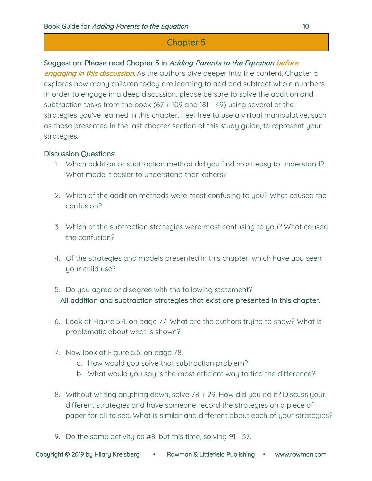# Suggestion: Please read Chapter 5 in Adding Parents to the Equation before

engaging in this discussion. As the authors dive deeper into the content, Chapter 5 explores how many children today are learning to add and subtract whole numbers. In order to engage in a deep discussion, please be sure to solve the addition and subtraction tasks from the book (67 + 109 and 181 - 49) using several of the strategies you've learned in this chapter. Feel free to use a virtual manipulative, such as those presented in the last chapter section of this study guide, to represent your strategies.

- 1. Which addition or subtraction method did you find most easy to understand? What made it easier to understand than others?
- 2. Which of the addition methods were most confusing to you? What caused the confusion?
- 3. Which of the subtraction strategies were most confusing to you? What caused the confusion?
- 4. Of the strategies and models presented in this chapter, which have you seen your child use?
- 5. Do you agree or disagree with the following statement? All addition and subtraction strategies that exist are presented in this chapter.
- 6. Look at Figure 5.4. on page 77. What are the authors trying to show? What is problematic about what is shown?
- 7. Now look at Figure 5.5. on page 78.
	- a. How would you solve that subtraction problem?
	- b. What would you say is the most efficient way to find the difference?
- 8. Without writing anything down, solve 78 + 29. How did you do it? Discuss your different strategies and have someone record the strategies on a piece of paper for all to see. What is similar and different about each of your strategies?
- 9. Do the same activity as #8, but this time, solving 91 37.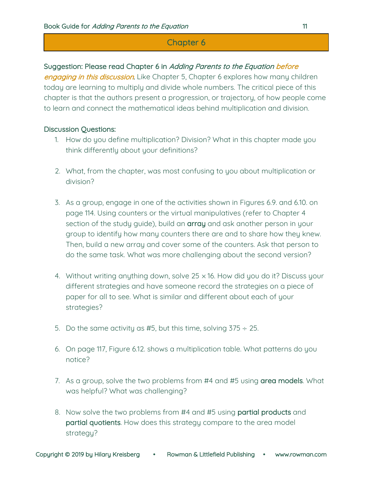## Suggestion: Please read Chapter 6 in Adding Parents to the Equation before

engaging in this discussion. Like Chapter 5, Chapter 6 explores how many children today are learning to multiply and divide whole numbers. The critical piece of this chapter is that the authors present a progression, or trajectory, of how people come to learn and connect the mathematical ideas behind multiplication and division.

- 1. How do you define multiplication? Division? What in this chapter made you think differently about your definitions?
- 2. What, from the chapter, was most confusing to you about multiplication or division?
- 3. As a group, engage in one of the activities shown in Figures 6.9. and 6.10. on page 114. Using counters or the virtual manipulatives (refer to Chapter 4 section of the study guide), build an array and ask another person in your group to identify how many counters there are and to share how they knew. Then, build a new array and cover some of the counters. Ask that person to do the same task. What was more challenging about the second version?
- 4. Without writing anything down, solve 25 × 16. How did you do it? Discuss your different strategies and have someone record the strategies on a piece of paper for all to see. What is similar and different about each of your strategies?
- 5. Do the same activity as #5, but this time, solving  $375 \div 25$ .
- 6. On page 117, Figure 6.12. shows a multiplication table. What patterns do you notice?
- 7. As a group, solve the two problems from #4 and #5 using area models. What was helpful? What was challenging?
- 8. Now solve the two problems from #4 and #5 using partial products and partial quotients. How does this strategy compare to the area model strategy?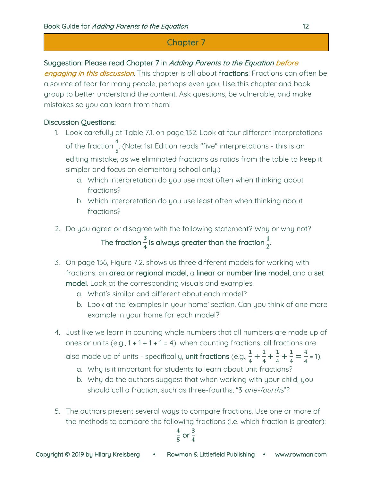# Suggestion: Please read Chapter 7 in Adding Parents to the Equation before

engaging in this discussion. This chapter is all about fractions! Fractions can often be a source of fear for many people, perhaps even you. Use this chapter and book group to better understand the content. Ask questions, be vulnerable, and make mistakes so you can learn from them!

# Discussion Questions:

- 1. Look carefully at Table 7.1. on page 132. Look at four different interpretations of the fraction  $\frac{4}{5}$  (Note: 1st Edition reads "five" interpretations - this is an editing mistake, as we eliminated fractions as ratios from the table to keep it simpler and focus on elementary school only.)
	- a. Which interpretation do you use most often when thinking about fractions?
	- b. Which interpretation do you use least often when thinking about fractions?
- 2. Do you agree or disagree with the following statement? Why or why not? The fraction  $\frac{3}{4}$  is always greater than the fraction  $\frac{1}{2}$ .
- 3. On page 136, Figure 7.2. shows us three different models for working with fractions: an area or regional model, a linear or number line model, and a set model. Look at the corresponding visuals and examples.
	- a. What's similar and different about each model?
	- b. Look at the 'examples in your home' section. Can you think of one more example in your home for each model?
- 4. Just like we learn in counting whole numbers that all numbers are made up of ones or units (e.g.,  $1 + 1 + 1 + 1 = 4$ ), when counting fractions, all fractions are

also made up of units - specifically, **unit fractions** (e.g.,  $\frac{1}{4} + \frac{1}{4} + \frac{1}{4} + \frac{1}{4} = \frac{4}{4} = 1$ ).

- a. Why is it important for students to learn about unit fractions?
- b. Why do the authors suggest that when working with your child, you should call a fraction, such as three-fourths, "3 one-fourths"?
- 5. The authors present several ways to compare fractions. Use one or more of the methods to compare the following fractions (i.e. which fraction is greater):

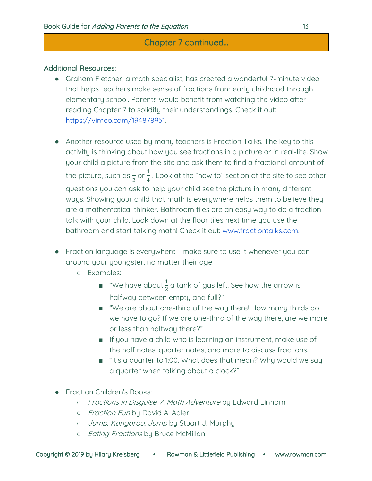# Chapter 7 continued...

## Additional Resources:

- Graham Fletcher, a math specialist, has created a wonderful 7-minute video that helps teachers make sense of fractions from early childhood through elementary school. Parents would benefit from watching the video after reading Chapter 7 to solidify their understandings. Check it out: https://vimeo.com/194878951.
- Another resource used by many teachers is Fraction Talks. The key to this activity is thinking about how you see fractions in a picture or in real-life. Show your child a picture from the site and ask them to find a fractional amount of the picture, such as  $\frac{1}{2}$  or  $\frac{1}{4}$  . Look at the "how to" section of the site to see other questions you can ask to help your child see the picture in many different ways. Showing your child that math is everywhere helps them to believe they are a mathematical thinker. Bathroom tiles are an easy way to do a fraction talk with your child. Look down at the floor tiles next time you use the bathroom and start talking math! Check it out: www.fractiontalks.com.
- Fraction language is everywhere make sure to use it whenever you can around your youngster, no matter their age.
	- Examples:
		- $\blacksquare$  "We have about  $\frac{1}{2}$  a tank of gas left. See how the arrow is halfway between empty and full?"
		- "We are about one-third of the way there! How many thirds do we have to go? If we are one-third of the way there, are we more or less than halfway there?"
		- If you have a child who is learning an instrument, make use of the half notes, quarter notes, and more to discuss fractions.
		- "It's a quarter to 1:00. What does that mean? Why would we say a quarter when talking about a clock?"
- **Fraction Children's Books:** 
	- o Fractions in Disguise: A Math Adventure by Edward Einhorn
	- o Fraction Fun by David A. Adler
	- o Jump, Kangaroo, Jump by Stuart J. Murphy
	- o *Eating Fractions* by Bruce McMillan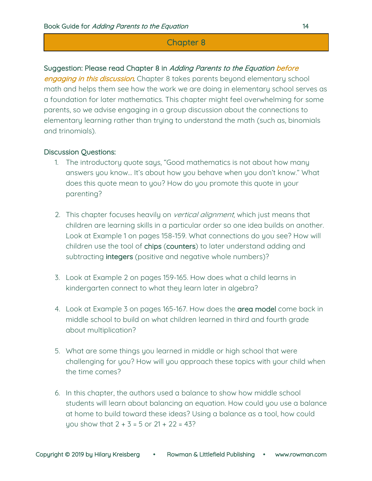## Suggestion: Please read Chapter 8 in Adding Parents to the Equation before

engaging in this discussion. Chapter 8 takes parents beyond elementary school math and helps them see how the work we are doing in elementary school serves as a foundation for later mathematics. This chapter might feel overwhelming for some parents, so we advise engaging in a group discussion about the connections to elementary learning rather than trying to understand the math (such as, binomials and trinomials).

- 1. The introductory quote says, "Good mathematics is not about how many answers you know… It's about how you behave when you don't know." What does this quote mean to you? How do you promote this quote in your parenting?
- 2. This chapter focuses heavily on vertical alignment, which just means that children are learning skills in a particular order so one idea builds on another. Look at Example 1 on pages 158-159. What connections do you see? How will children use the tool of chips (counters) to later understand adding and subtracting integers (positive and negative whole numbers)?
- 3. Look at Example 2 on pages 159-165. How does what a child learns in kindergarten connect to what they learn later in algebra?
- 4. Look at Example 3 on pages 165-167. How does the area model come back in middle school to build on what children learned in third and fourth grade about multiplication?
- 5. What are some things you learned in middle or high school that were challenging for you? How will you approach these topics with your child when the time comes?
- 6. In this chapter, the authors used a balance to show how middle school students will learn about balancing an equation. How could you use a balance at home to build toward these ideas? Using a balance as a tool, how could you show that  $2 + 3 = 5$  or  $21 + 22 = 43$ ?